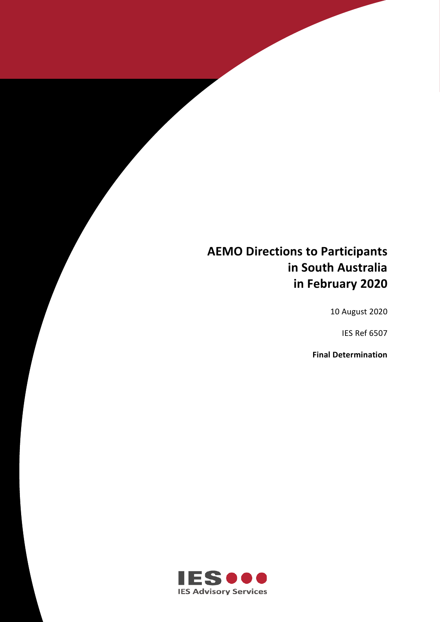# **AEMO Directions to Participants in South Australia in February 2020**

**AEMO DIRECTIONS TO PARTICIPANTS IN SOUTH AUSTRALIA IN FEBRUARY 2020**

10 August 2020

IES Ref 6507

**Final Determination**

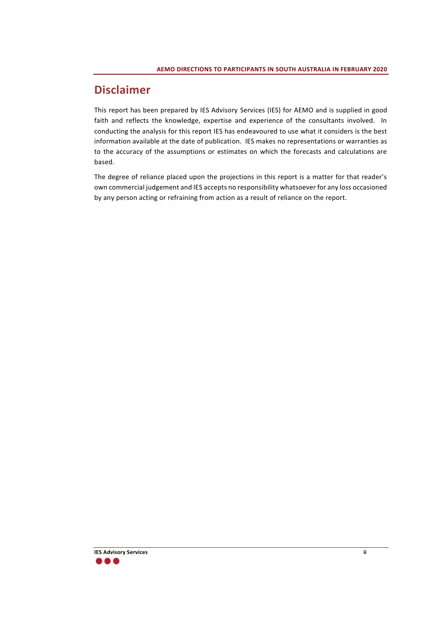# **Disclaimer**

This report has been prepared by IES Advisory Services (IES) for AEMO and is supplied in good faith and reflects the knowledge, expertise and experience of the consultants involved. In conducting the analysis for this report IES has endeavoured to use what it considers is the best information available at the date of publication. IES makes no representations or warranties as to the accuracy of the assumptions or estimates on which the forecasts and calculations are based.

The degree of reliance placed upon the projections in this report is a matter for that reader's own commercial judgement and IES accepts no responsibility whatsoever for any loss occasioned by any person acting or refraining from action as a result of reliance on the report.

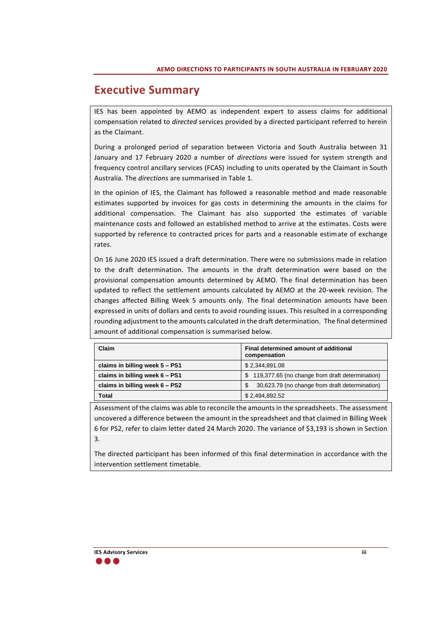## **Executive Summary**

IES has been appointed by AEMO as independent expert to assess claims for additional compensation related to *directed* services provided by a directed participant referred to herein as the Claimant.

During a prolonged period of separation between Victoria and South Australia between 31 January and 17 February 2020 a number of *directions* were issued for system strength and frequency control ancillary services (FCAS) including to units operated by the Claimant in South Australia. The *directions* are summarised in [Table 1.](#page-5-0)

In the opinion of IES, the Claimant has followed a reasonable method and made reasonable estimates supported by invoices for gas costs in determining the amounts in the claims for additional compensation. The Claimant has also supported the estimates of variable maintenance costs and followed an established method to arrive at the estimates. Costs were supported by reference to contracted prices for parts and a reasonable estimate of exchange rates.

On 16 June 2020 IES issued a draft determination. There were no submissions made in relation to the draft determination. The amounts in the draft determination were based on the provisional compensation amounts determined by AEMO. The final determination has been updated to reflect the settlement amounts calculated by AEMO at the 20-week revision. The changes affected Billing Week 5 amounts only. The final determination amounts have been expressed in units of dollars and cents to avoid rounding issues. This resulted in a corresponding rounding adjustment to the amounts calculated in the draft determination. The final determined amount of additional compensation is summarised below.

| Claim                          | Final determined amount of additional<br>compensation |
|--------------------------------|-------------------------------------------------------|
| claims in billing week 5 - PS1 | \$2,344,891.08                                        |
| claims in billing week 6 - PS1 | \$119,377.65 (no change from draft determination)     |
| claims in billing week 6 - PS2 | 30,623.79 (no change from draft determination)        |
| <b>Total</b>                   | \$2,494,892.52                                        |

Assessment of the claims was able to reconcile the amounts in the spreadsheets. The assessment uncovered a difference between the amount in the spreadsheet and that claimed in Billing Week 6 for PS2, refer to claim letter dated 24 March 2020. The variance of \$3,193 is shown in Section 3.

The directed participant has been informed of this final determination in accordance with the intervention settlement timetable.

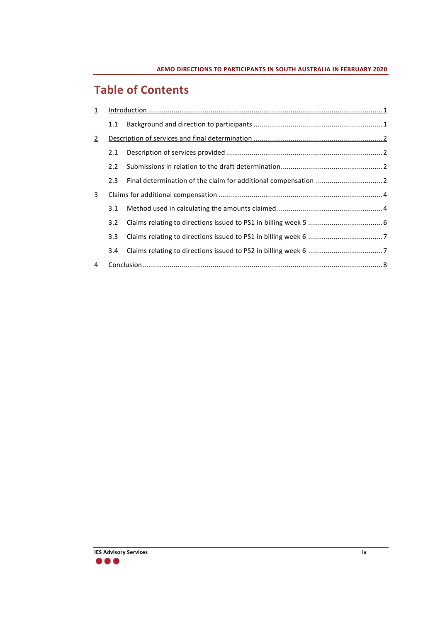# **Table of Contents**

| $\overline{1}$ |                  |  |
|----------------|------------------|--|
|                | 1.1              |  |
| $\overline{2}$ |                  |  |
|                | 2.1              |  |
|                | $2.2^{\circ}$    |  |
|                | 2.3              |  |
| <u>3</u>       |                  |  |
|                | 3.1              |  |
|                | 3.2              |  |
|                | 3.3 <sub>1</sub> |  |
|                | 3.4              |  |
| 4              |                  |  |

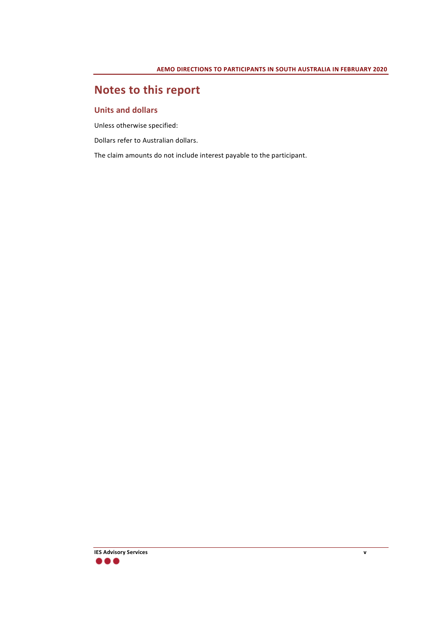# **Notes to this report**

#### **Units and dollars**

Unless otherwise specified:

Dollars refer to Australian dollars.

The claim amounts do not include interest payable to the participant.

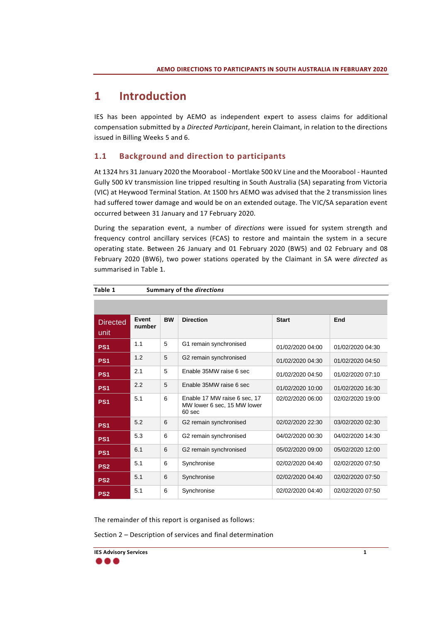# <span id="page-5-1"></span>**1 Introduction**

IES has been appointed by AEMO as independent expert to assess claims for additional compensation submitted by a *Directed Participant*, herein Claimant, in relation to the directions issued in Billing Weeks 5 and 6.

### <span id="page-5-2"></span>**1.1 Background and direction to participants**

At 1324 hrs 31 January 2020 the Moorabool - Mortlake 500 kV Line and the Moorabool - Haunted Gully 500 kV transmission line tripped resulting in South Australia (SA) separating from Victoria (VIC) at Heywood Terminal Station. At 1500 hrs AEMO was advised that the 2 transmission lines had suffered tower damage and would be on an extended outage. The VIC/SA separation event occurred between 31 January and 17 February 2020.

During the separation event, a number of *directions* were issued for system strength and frequency control ancillary services (FCAS) to restore and maintain the system in a secure operating state. Between 26 January and 01 February 2020 (BW5) and 02 February and 08 February 2020 (BW6), two power stations operated by the Claimant in SA were *directed* as summarised in [Table 1.](#page-5-0)

| <b>Directed</b><br>unit | Event<br>number | <b>BW</b> | <b>Direction</b>                                                                 | <b>Start</b>     | End              |
|-------------------------|-----------------|-----------|----------------------------------------------------------------------------------|------------------|------------------|
| PS <sub>1</sub>         | 1.1             | 5         | G1 remain synchronised                                                           | 01/02/2020 04:00 | 01/02/2020 04:30 |
| PS <sub>1</sub>         | 1.2             | 5         | G2 remain synchronised                                                           | 01/02/2020 04:30 | 01/02/2020 04:50 |
| PS <sub>1</sub>         | 2.1             | 5         | Enable 35MW raise 6 sec                                                          | 01/02/2020 04:50 | 01/02/2020 07:10 |
| PS <sub>1</sub>         | 2.2             | 5         | Enable 35MW raise 6 sec                                                          | 01/02/2020 10:00 | 01/02/2020 16:30 |
| PS <sub>1</sub>         | 5.1             | 6         | Enable 17 MW raise 6 sec, 17<br>MW lower 6 sec, 15 MW lower<br>60 <sub>sec</sub> | 02/02/2020 06:00 | 02/02/2020 19:00 |
| PS <sub>1</sub>         | 5.2             | 6         | G2 remain synchronised                                                           | 02/02/2020 22:30 | 03/02/2020 02:30 |
| PS <sub>1</sub>         | 5.3             | 6         | G2 remain synchronised                                                           | 04/02/2020 00:30 | 04/02/2020 14:30 |
| PS <sub>1</sub>         | 6.1             | 6         | G2 remain synchronised                                                           | 05/02/2020 09:00 | 05/02/2020 12:00 |
| PS <sub>2</sub>         | 5.1             | 6         | Synchronise                                                                      | 02/02/2020 04:40 | 02/02/2020 07:50 |
| PS <sub>2</sub>         | 5.1             | 6         | Synchronise                                                                      | 02/02/2020 04:40 | 02/02/2020 07:50 |
| PS <sub>2</sub>         | 5.1             | 6         | Synchronise                                                                      | 02/02/2020 04:40 | 02/02/2020 07:50 |

<span id="page-5-0"></span>**Table 1 Summary of the** *directions*

The remainder of this report is organised as follows:

Section 2 – Description of services and final determination

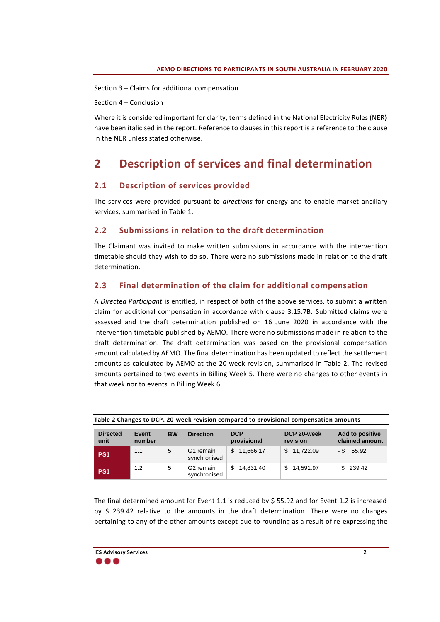Section 3 – Claims for additional compensation

Section 4 – Conclusion

Where it is considered important for clarity, terms defined in the National Electricity Rules (NER) have been italicised in the report. Reference to clauses in this report is a reference to the clause in the NER unless stated otherwise.

## <span id="page-6-0"></span>**2 Description of services and final determination**

### <span id="page-6-1"></span>**2.1 Description of services provided**

The services were provided pursuant to *directions* for energy and to enable market ancillary services, summarised in [Table 1.](#page-5-0)

### <span id="page-6-2"></span>**2.2 Submissions in relation to the draft determination**

The Claimant was invited to make written submissions in accordance with the intervention timetable should they wish to do so. There were no submissions made in relation to the draft determination.

### <span id="page-6-3"></span>**2.3 Final determination of the claim for additional compensation**

A *Directed Participant* is entitled, in respect of both of the above services, to submit a written claim for additional compensation in accordance with clause 3.15.7B. Submitted claims were assessed and the draft determination published on 16 June 2020 in accordance with the intervention timetable published by AEMO. There were no submissions made in relation to the draft determination. The draft determination was based on the provisional compensation amount calculated by AEMO. The final determination has been updated to reflect the settlement amounts as calculated by AEMO at the 20-week revision, summarised in [Table 2.](#page-6-4) The revised amounts pertained to two events in Billing Week 5. There were no changes to other events in that week nor to events in Billing Week 6.

| <b>Directed</b><br>unit | Event<br>number | <b>BW</b> | <b>Direction</b>                      | <b>DCP</b><br>provisional | DCP 20-week<br>revision | <b>Add to positive</b><br>claimed amount |
|-------------------------|-----------------|-----------|---------------------------------------|---------------------------|-------------------------|------------------------------------------|
| PS <sub>1</sub>         | 1.1             | 5         | G1 remain<br>synchronised             | \$11.666.17               | \$11.722.09             | $-$ \$ 55.92                             |
| PS <sub>1</sub>         | 1.2             | 5         | G <sub>2</sub> remain<br>synchronised | 14.831.40<br>\$.          | 14.591.97               | \$239.42                                 |

<span id="page-6-4"></span>

| Table 2 Changes to DCP. 20-week revision compared to provisional compensation amounts |  |  |
|---------------------------------------------------------------------------------------|--|--|
|                                                                                       |  |  |

The final determined amount for Event 1.1 is reduced by \$ 55.92 and for Event 1.2 is increased by  $$$  239.42 relative to the amounts in the draft determination. There were no changes pertaining to any of the other amounts except due to rounding as a result of re-expressing the

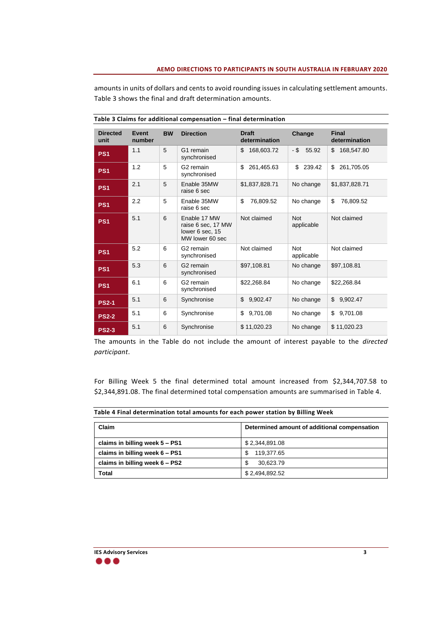amounts in units of dollars and cents to avoid rounding issues in calculating settlement amounts. [Table 3](#page-7-0) shows the final and draft determination amounts.

| <b>Directed</b><br>unit | Event<br>number | <b>BW</b> | <b>Direction</b>                                                         | <b>Draft</b><br>determination | Change                   | <b>Final</b><br>determination |
|-------------------------|-----------------|-----------|--------------------------------------------------------------------------|-------------------------------|--------------------------|-------------------------------|
| PS <sub>1</sub>         | 1.1             | 5         | G1 remain<br>synchronised                                                | \$<br>168,603.72              | - \$<br>55.92            | \$<br>168,547.80              |
| PS <sub>1</sub>         | 1.2             | 5         | G <sub>2</sub> remain<br>synchronised                                    | \$<br>261,465.63              | \$<br>239.42             | \$<br>261,705.05              |
| PS <sub>1</sub>         | 2.1             | 5         | Enable 35MW<br>raise 6 sec                                               | \$1,837,828.71                | No change                | \$1,837,828.71                |
| PS <sub>1</sub>         | 2.2             | 5         | Enable 35MW<br>raise 6 sec                                               | \$<br>76,809.52               | No change                | \$<br>76,809.52               |
| PS <sub>1</sub>         | 5.1             | 6         | Enable 17 MW<br>raise 6 sec, 17 MW<br>lower 6 sec. 15<br>MW lower 60 sec | Not claimed                   | <b>Not</b><br>applicable | Not claimed                   |
| PS <sub>1</sub>         | 5.2             | 6         | G2 remain<br>synchronised                                                | Not claimed                   | <b>Not</b><br>applicable | Not claimed                   |
| PS <sub>1</sub>         | 5.3             | 6         | G <sub>2</sub> remain<br>synchronised                                    | \$97,108.81                   | No change                | \$97.108.81                   |
| PS <sub>1</sub>         | 6.1             | 6         | G <sub>2</sub> remain<br>synchronised                                    | \$22.268.84                   | No change                | \$22.268.84                   |
| <b>PS2-1</b>            | 5.1             | 6         | Synchronise                                                              | \$<br>9.902.47                | No change                | \$<br>9.902.47                |
| <b>PS2-2</b>            | 5.1             | 6         | Synchronise                                                              | 9,701.08<br>\$                | No change                | 9,701.08<br>\$                |
| <b>PS2-3</b>            | 5.1             | 6         | Synchronise                                                              | \$11,020.23                   | No change                | \$11,020.23                   |

<span id="page-7-0"></span>**Table 3 Claims for additional compensation – final determination**

The amounts in the Table do not include the amount of interest payable to the *directed participant*.

For Billing Week 5 the final determined total amount increased from \$2,344,707.58 to \$2,344,891.08. The final determined total compensation amounts are summarised in [Table 4.](#page-7-1)

<span id="page-7-1"></span>

|  |  | Table 4 Final determination total amounts for each power station by Billing Week |
|--|--|----------------------------------------------------------------------------------|
|--|--|----------------------------------------------------------------------------------|

| Claim                          | Determined amount of additional compensation |  |
|--------------------------------|----------------------------------------------|--|
| claims in billing week 5 - PS1 | \$2,344,891.08                               |  |
| claims in billing week 6 - PS1 | 119,377.65<br>\$.                            |  |
| claims in billing week 6 – PS2 | S<br>30,623.79                               |  |
| Total                          | \$2,494,892.52                               |  |

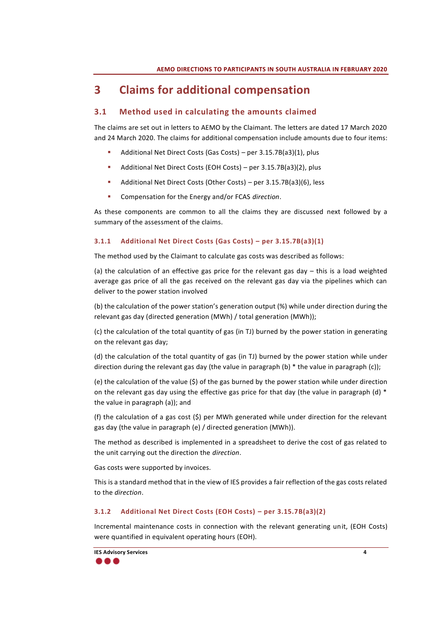# <span id="page-8-0"></span>**3 Claims for additional compensation**

### <span id="page-8-1"></span>**3.1 Method used in calculating the amounts claimed**

The claims are set out in letters to AEMO by the Claimant. The letters are dated 17 March 2020 and 24 March 2020. The claims for additional compensation include amounts due to four items:

- Additional Net Direct Costs (Gas Costs) per 3.15.7B(a3)(1), plus
- Additional Net Direct Costs (EOH Costs) per 3.15.7B(a3)(2), plus
- Additional Net Direct Costs (Other Costs) per 3.15.7B(a3)(6), less
- Compensation for the Energy and/or FCAS *direction*.

As these components are common to all the claims they are discussed next followed by a summary of the assessment of the claims.

### **3.1.1 Additional Net Direct Costs (Gas Costs) – per 3.15.7B(a3)(1)**

The method used by the Claimant to calculate gas costs was described as follows:

(a) the calculation of an effective gas price for the relevant gas day  $-$  this is a load weighted average gas price of all the gas received on the relevant gas day via the pipelines which can deliver to the power station involved

(b) the calculation of the power station's generation output (%) while under direction during the relevant gas day (directed generation (MWh) / total generation (MWh));

(c) the calculation of the total quantity of gas (in TJ) burned by the power station in generating on the relevant gas day;

(d) the calculation of the total quantity of gas (in TJ) burned by the power station while under direction during the relevant gas day (the value in paragraph  $(b)$  \* the value in paragraph  $(c)$ );

(e) the calculation of the value (\$) of the gas burned by the power station while under direction on the relevant gas day using the effective gas price for that day (the value in paragraph (d) \* the value in paragraph (a)); and

(f) the calculation of a gas cost (\$) per MWh generated while under direction for the relevant gas day (the value in paragraph (e) / directed generation (MWh)).

The method as described is implemented in a spreadsheet to derive the cost of gas related to the unit carrying out the direction the *direction*.

Gas costs were supported by invoices.

This is a standard method that in the view of IES provides a fair reflection of the gas costs related to the *direction*.

### **3.1.2 Additional Net Direct Costs (EOH Costs) – per 3.15.7B(a3)(2)**

Incremental maintenance costs in connection with the relevant generating unit, (EOH Costs) were quantified in equivalent operating hours (EOH).

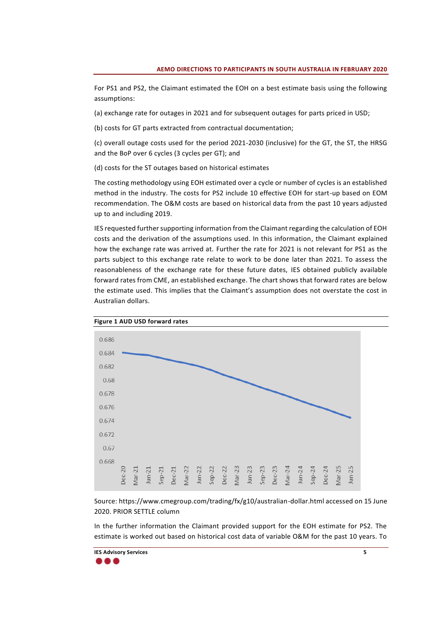For PS1 and PS2, the Claimant estimated the EOH on a best estimate basis using the following assumptions:

(a) exchange rate for outages in 2021 and for subsequent outages for parts priced in USD;

(b) costs for GT parts extracted from contractual documentation;

(c) overall outage costs used for the period 2021-2030 (inclusive) for the GT, the ST, the HRSG and the BoP over 6 cycles (3 cycles per GT); and

(d) costs for the ST outages based on historical estimates

The costing methodology using EOH estimated over a cycle or number of cycles is an established method in the industry. The costs for PS2 include 10 effective EOH for start-up based on EOM recommendation. The O&M costs are based on historical data from the past 10 years adjusted up to and including 2019.

IES requested further supporting information from the Claimant regarding the calculation of EOH costs and the derivation of the assumptions used. In this information, the Claimant explained how the exchange rate was arrived at. Further the rate for 2021 is not relevant for PS1 as the parts subject to this exchange rate relate to work to be done later than 2021. To assess the reasonableness of the exchange rate for these future dates, IES obtained publicly available forward rates from CME, an established exchange. The chart shows that forward rates are below the estimate used. This implies that the Claimant's assumption does not overstate the cost in Australian dollars.



Source: https://www.cmegroup.com/trading/fx/g10/australian-dollar.html accessed on 15 June 2020. PRIOR SETTLE column

In the further information the Claimant provided support for the EOH estimate for PS2. The estimate is worked out based on historical cost data of variable O&M for the past 10 years. To

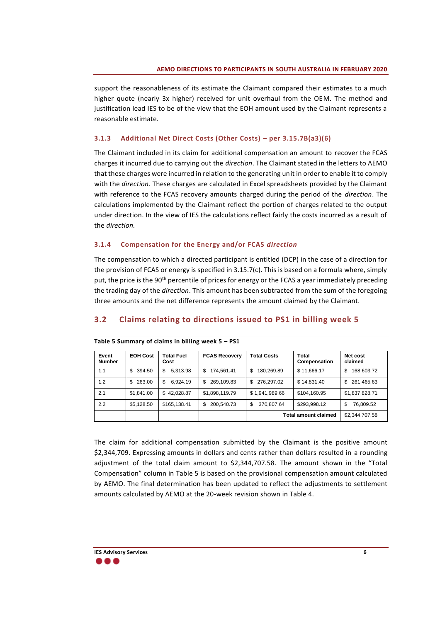support the reasonableness of its estimate the Claimant compared their estimates to a much higher quote (nearly 3x higher) received for unit overhaul from the OEM. The method and justification lead IES to be of the view that the EOH amount used by the Claimant represents a reasonable estimate.

#### **3.1.3 Additional Net Direct Costs (Other Costs) – per 3.15.7B(a3)(6)**

The Claimant included in its claim for additional compensation an amount to recover the FCAS charges it incurred due to carrying out the *direction*. The Claimant stated in the letters to AEMO that these charges were incurred in relation to the generating unit in order to enable it to comply with the *direction*. These charges are calculated in Excel spreadsheets provided by the Claimant with reference to the FCAS recovery amounts charged during the period of the *direction*. The calculations implemented by the Claimant reflect the portion of charges related to the output under direction. In the view of IES the calculations reflect fairly the costs incurred as a result of the *direction.*

#### **3.1.4 Compensation for the Energy and/or FCAS** *direction*

The compensation to which a directed participant is entitled (DCP) in the case of a direction for the provision of FCAS or energy is specified in 3.15.7(c). This is based on a formula where, simply put, the price is the 90<sup>th</sup> percentile of prices for energy or the FCAS a year immediately preceding the trading day of the *direction*. This amount has been subtracted from the sum of the foregoing three amounts and the net difference represents the amount claimed by the Claimant.

### <span id="page-10-0"></span>**3.2 Claims relating to directions issued to PS1 in billing week 5**

| Event<br><b>Number</b> | <b>EOH Cost</b> | <b>Total Fuel</b><br>Cost | <b>FCAS Recovery</b> | <b>Total Costs</b> | Total<br>Compensation       | Net cost<br>claimed |
|------------------------|-----------------|---------------------------|----------------------|--------------------|-----------------------------|---------------------|
| 1.1                    | 394.50<br>\$.   | 5.313.98<br>\$            | 174,561.41<br>S      | S<br>180,269.89    | \$11,666.17                 | 168,603.72<br>\$    |
| 1.2                    | 263.00<br>\$    | 6.924.19<br>\$.           | 269.109.83<br>S      | 276.297.02<br>\$.  | \$14,831.40                 | 261,465.63<br>\$.   |
| 2.1                    | \$1,841.00      | \$42.028.87               | \$1,898,119.79       | \$1,941,989.66     | \$104,160.95                | \$1,837,828.71      |
| 2.2                    | \$5,128.50      | \$165,138.41              | 200,540.73<br>\$     | \$<br>370,807.64   | \$293,998.12                | \$<br>76,809.52     |
|                        |                 |                           |                      |                    | <b>Total amount claimed</b> | \$2,344,707.58      |

#### <span id="page-10-1"></span>**Table 5 Summary of claims in billing week 5 – PS1**

The claim for additional compensation submitted by the Claimant is the positive amount \$2,344,709. Expressing amounts in dollars and cents rather than dollars resulted in a rounding adjustment of the total claim amount to \$2,344,707.58. The amount shown in the "Total Compensation" column in [Table 5](#page-10-1) is based on the provisional compensation amount calculated by AEMO. The final determination has been updated to reflect the adjustments to settlement amounts calculated by AEMO at the 20-week revision shown in [Table 4.](#page-7-1)

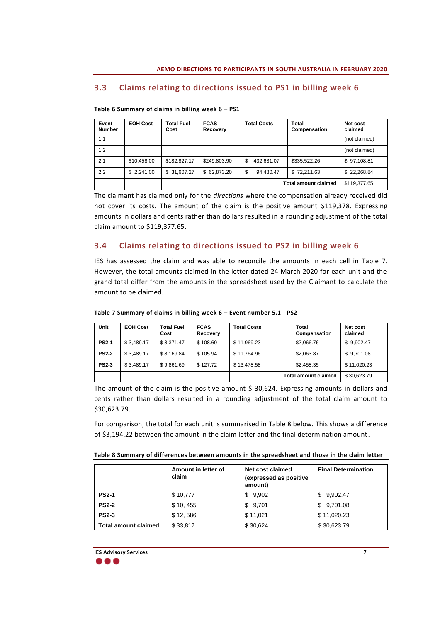| Event<br><b>Number</b> | <b>EOH Cost</b> | Total Fuel<br>Cost | <b>FCAS</b><br>Recovery | <b>Total Costs</b> | Total<br>Compensation       | Net cost<br>claimed |
|------------------------|-----------------|--------------------|-------------------------|--------------------|-----------------------------|---------------------|
| 1.1                    |                 |                    |                         |                    |                             | (not claimed)       |
| 1.2                    |                 |                    |                         |                    |                             | (not claimed)       |
| 2.1                    | \$10,458.00     | \$182,827.17       | \$249,803.90            | \$<br>432,631.07   | \$335,522.26                | \$97,108.81         |
| 2.2                    | \$2,241.00      | \$ 31,607.27       | \$62,873.20             | \$<br>94.480.47    | \$72,211.63                 | \$22,268.84         |
|                        |                 |                    |                         |                    | <b>Total amount claimed</b> | \$119,377.65        |

### <span id="page-11-0"></span>**3.3 Claims relating to directions issued to PS1 in billing week 6**

| Table 6 Summary of claims in billing week 6 - PS1 |  |  |  |
|---------------------------------------------------|--|--|--|
|---------------------------------------------------|--|--|--|

The claimant has claimed only for the *directions* where the compensation already received did not cover its costs. The amount of the claim is the positive amount \$119,378. Expressing amounts in dollars and cents rather than dollars resulted in a rounding adjustment of the total claim amount to \$119,377.65.

### <span id="page-11-1"></span>**3.4 Claims relating to directions issued to PS2 in billing week 6**

IES has assessed the claim and was able to reconcile the amounts in each cell in [Table 7.](#page-11-2) However, the total amounts claimed in the letter dated 24 March 2020 for each unit and the grand total differ from the amounts in the spreadsheet used by the Claimant to calculate the amount to be claimed.

| Unit         | <b>EOH Cost</b> | <b>Total Fuel</b><br>Cost | <b>FCAS</b><br>Recovery | <b>Total Costs</b>          | <b>Total</b><br>Compensation | Net cost<br>claimed |
|--------------|-----------------|---------------------------|-------------------------|-----------------------------|------------------------------|---------------------|
| <b>PS2-1</b> | \$3,489.17      | \$8.371.47                | \$108.60                | \$11,969.23                 | \$2,066.76                   | \$9,902.47          |
| <b>PS2-2</b> | \$3,489.17      | \$8,169.84                | \$105.94                | \$11,764.96                 | \$2,063.87                   | \$9,701.08          |
| <b>PS2-3</b> | \$3,489.17      | \$9.861.69                | \$127.72                | \$13,478.58                 | \$2,458.35                   | \$11,020.23         |
|              |                 |                           |                         | <b>Total amount claimed</b> |                              | \$30,623.79         |

<span id="page-11-2"></span>**Table 7 Summary of claims in billing week 6 – Event number 5.1 - PS2**

The amount of the claim is the positive amount  $\frac{2}{3}$  30,624. Expressing amounts in dollars and cents rather than dollars resulted in a rounding adjustment of the total claim amount to \$30,623.79.

For comparison, the total for each unit is summarised in [Table 8](#page-11-3) below. This shows a difference of \$3,194.22 between the amount in the claim letter and the final determination amount.

<span id="page-11-3"></span>

|                             | Amount in letter of<br>claim | Net cost claimed<br>(expressed as positive<br>amount) | <b>Final Determination</b> |
|-----------------------------|------------------------------|-------------------------------------------------------|----------------------------|
| <b>PS2-1</b>                | \$10,777                     | 9.902<br>S.                                           | 9,902.47<br>S.             |
| <b>PS2-2</b>                | \$10, 455                    | \$9.701                                               | 9,701.08<br>S.             |
| <b>PS2-3</b>                | \$12,586                     | \$11,021                                              | \$11,020.23                |
| <b>Total amount claimed</b> | \$33,817                     | \$30.624                                              | \$30,623.79                |